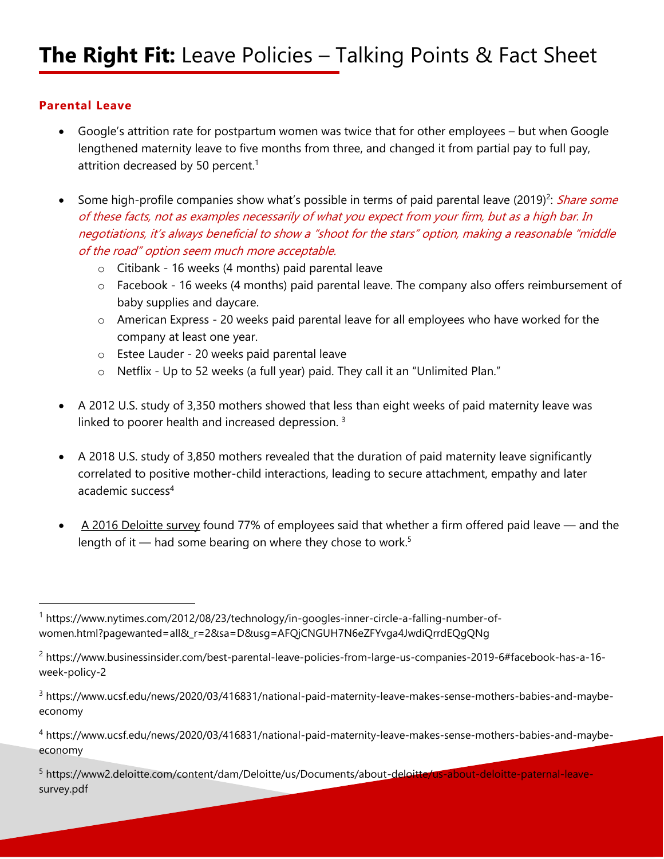## **Parental Leave**

- Google's attrition rate for postpartum women was twice that for other employees but when Google lengthened maternity leave to five months from three, and changed it from partial pay to full pay, attrition decreased by 50 percent.<sup>1</sup>
- Some high-profile companies show what's possible in terms of paid parental leave (2019)<sup>2</sup>: Share some of these facts, not as examples necessarily of what you expect from your firm, but as a high bar. In negotiations, it's always beneficial to show a "shoot for the stars" option, making a reasonable "middle of the road" option seem much more acceptable.
	- o Citibank 16 weeks (4 months) paid parental leave
	- o Facebook 16 weeks (4 months) paid parental leave. The company also offers reimbursement of baby supplies and daycare.
	- o American Express 20 weeks paid parental leave for all employees who have worked for the company at least one year.
	- o Estee Lauder 20 weeks paid parental leave
	- o Netflix Up to 52 weeks (a full year) paid. They call it an "Unlimited Plan."
- A 2012 U.S. study of 3,350 mothers showed that less than eight weeks of paid maternity leave was linked to poorer health and increased depression.<sup>3</sup>
- A 2018 U.S. study of 3,850 mothers revealed that the duration of paid maternity leave significantly correlated to positive mother-child interactions, leading to secure attachment, empathy and later academic success<sup>4</sup>
- [A 2016 Deloitte survey](https://www2.deloitte.com/content/dam/Deloitte/us/Documents/about-deloitte/us-about-deloitte-paternal-leave-survey.pdf) found 77% of employees said that whether a firm offered paid leave and the length of it — had some bearing on where they chose to work.<sup>5</sup>

<sup>1</sup> https://www.nytimes.com/2012/08/23/technology/in-googles-inner-circle-a-falling-number-ofwomen.html?pagewanted=all&\_r=2&sa=D&usg=AFQjCNGUH7N6eZFYvga4JwdiQrrdEQgQNg

<sup>2</sup> https://www.businessinsider.com/best-parental-leave-policies-from-large-us-companies-2019-6#facebook-has-a-16 week-policy-2

<sup>&</sup>lt;sup>3</sup> https://www.ucsf.edu/news/2020/03/416831/national-paid-maternity-leave-makes-sense-mothers-babies-and-maybeeconomy

<sup>4</sup> https://www.ucsf.edu/news/2020/03/416831/national-paid-maternity-leave-makes-sense-mothers-babies-and-maybeeconomy

<sup>5</sup> https://www2.deloitte.com/content/dam/Deloitte/us/Documents/about-deloitte/us-about-deloitte-paternal-leavesurvey.pdf